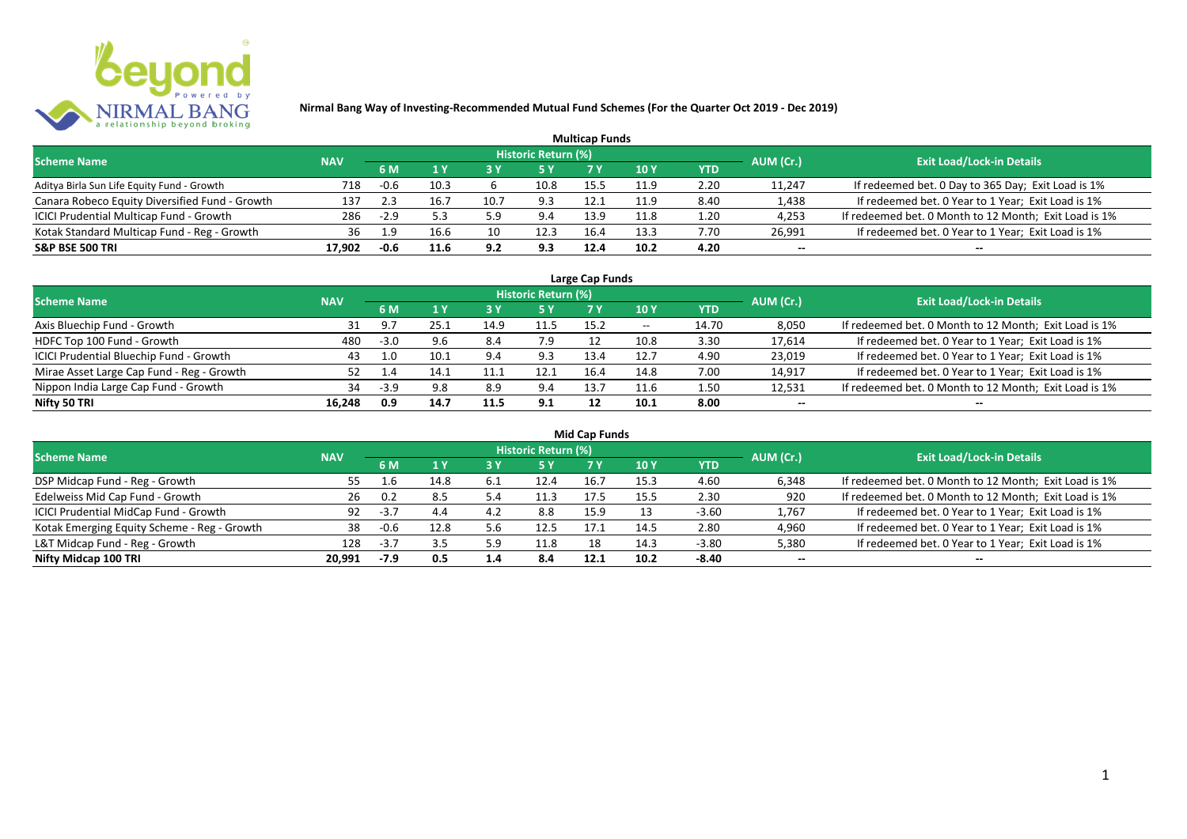

|                                                |            |        |      |      |                     | <b>Multicap Funds</b> |      |      |           |                                                       |
|------------------------------------------------|------------|--------|------|------|---------------------|-----------------------|------|------|-----------|-------------------------------------------------------|
| <b>Scheme Name</b>                             | <b>NAV</b> |        |      |      | Historic Return (%) |                       |      |      | AUM (Cr.) | <b>Exit Load/Lock-in Details</b>                      |
|                                                |            | 6 M    |      |      |                     |                       | 10 Y | YTD  |           |                                                       |
| Aditya Birla Sun Life Equity Fund - Growth     | 718        | $-0.6$ | 10.3 |      | 10.8                | 15.5                  | 11.9 | 2.20 | 11,247    | If redeemed bet. 0 Day to 365 Day; Exit Load is 1%    |
| Canara Robeco Equity Diversified Fund - Growth | 137        | 2.3    | 16.7 | 10.7 | 9.3                 | 12.1                  | 11.9 | 8.40 | 1,438     | If redeemed bet. 0 Year to 1 Year; Exit Load is 1%    |
| ICICI Prudential Multicap Fund - Growth        | 286        | $-2.9$ |      | 5.9  | 9.4                 | 13.9                  | 11.8 | 1.20 | 4,253     | If redeemed bet. 0 Month to 12 Month; Exit Load is 1% |
| Kotak Standard Multicap Fund - Reg - Growth    | 36         | 1.9    | 16.6 | 10   | 12.3                | 16.4                  | 13.3 | 7.70 | 26,991    | If redeemed bet. 0 Year to 1 Year; Exit Load is 1%    |
| <b>S&amp;P BSE 500 TRI</b>                     | 17.902     | -0.6   | 11.6 | 9.2  | 9.3                 | 12.4                  | 10.2 | 4.20 | --        | $- -$                                                 |

| Large Cap Funds                           |            |        |      |      |                            |      |            |       |           |                                                       |  |  |  |
|-------------------------------------------|------------|--------|------|------|----------------------------|------|------------|-------|-----------|-------------------------------------------------------|--|--|--|
| <b>Scheme Name</b>                        | <b>NAV</b> |        |      |      | <b>Historic Return (%)</b> |      |            |       | AUM (Cr.) | <b>Exit Load/Lock-in Details</b>                      |  |  |  |
|                                           |            | 6 M    |      |      | 5 Y                        |      | <b>10Y</b> | YTD   |           |                                                       |  |  |  |
| Axis Bluechip Fund - Growth               | 31         | 9.7    | 25.1 | 14.9 | 11.5                       | 15.2 | $- -$      | 14.70 | 8,050     | If redeemed bet. 0 Month to 12 Month; Exit Load is 1% |  |  |  |
| HDFC Top 100 Fund - Growth                | 480        | $-3.0$ | 9.6  | 8.4  | 7.9                        |      | 10.8       | 3.30  | 17,614    | If redeemed bet. 0 Year to 1 Year; Exit Load is 1%    |  |  |  |
| ICICI Prudential Bluechip Fund - Growth   | 43         | 1.0    | 10.1 | 9.4  | 9.3                        | 13.4 | 12.7       | 4.90  | 23,019    | If redeemed bet. 0 Year to 1 Year; Exit Load is 1%    |  |  |  |
| Mirae Asset Large Cap Fund - Reg - Growth |            |        | 14.1 |      | 12.1                       | 16.4 | 14.8       | 7.00  | 14,917    | If redeemed bet. 0 Year to 1 Year; Exit Load is 1%    |  |  |  |
| Nippon India Large Cap Fund - Growth      | 34         | $-3.9$ | 9.8  | 8.9  | 9.4                        | 13.  | 11.6       | 1.50  | 12,531    | If redeemed bet. 0 Month to 12 Month; Exit Load is 1% |  |  |  |
| Nifty 50 TRI                              | 16,248     | 0.9    | 14.7 | 11.5 | 9.1                        | 12   | 10.1       | 8.00  | $- -$     | $- -$                                                 |  |  |  |

| <b>Mid Cap Funds</b>                        |            |        |      |     |                            |      |      |            |           |                                                       |  |  |  |
|---------------------------------------------|------------|--------|------|-----|----------------------------|------|------|------------|-----------|-------------------------------------------------------|--|--|--|
| <b>Scheme Name</b>                          | <b>NAV</b> |        |      |     | <b>Historic Return (%)</b> |      |      |            | AUM (Cr.) | <b>Exit Load/Lock-in Details</b>                      |  |  |  |
|                                             |            | 6 M    |      |     | 5 Y                        | 7 Y  | 10 Y | <b>YTD</b> |           |                                                       |  |  |  |
| DSP Midcap Fund - Reg - Growth              | 55.        |        | 14.8 | 6.1 | 12.4                       | 16.7 | 15.3 | 4.60       | 6,348     | If redeemed bet. 0 Month to 12 Month; Exit Load is 1% |  |  |  |
| Edelweiss Mid Cap Fund - Growth             | 26         | 0.2    | 8.5  | 5.4 | 11.3                       | 17.5 | 15.5 | 2.30       | 920       | If redeemed bet. 0 Month to 12 Month; Exit Load is 1% |  |  |  |
| ICICI Prudential MidCap Fund - Growth       | 92         | $-3.7$ | 4.4  | 4.2 | 8.8                        | 15.9 |      | $-3.60$    | 1,767     | If redeemed bet. 0 Year to 1 Year; Exit Load is 1%    |  |  |  |
| Kotak Emerging Equity Scheme - Reg - Growth | 38         | $-0.6$ | 12.8 | 5.6 | 12.5                       | 17.1 | 14.5 | 2.80       | 4,960     | If redeemed bet. 0 Year to 1 Year; Exit Load is 1%    |  |  |  |
| L&T Midcap Fund - Reg - Growth              | 128        | -3.7   |      | 5.9 | 11.8                       |      | 14.3 | $-3.80$    | 5,380     | If redeemed bet. 0 Year to 1 Year; Exit Load is 1%    |  |  |  |
| Nifty Midcap 100 TRI                        | 20.991     | -7.9   | 0.5  | 1.4 | 8.4                        | 12.1 | 10.2 | -8.40      | $- -$     | $- -$                                                 |  |  |  |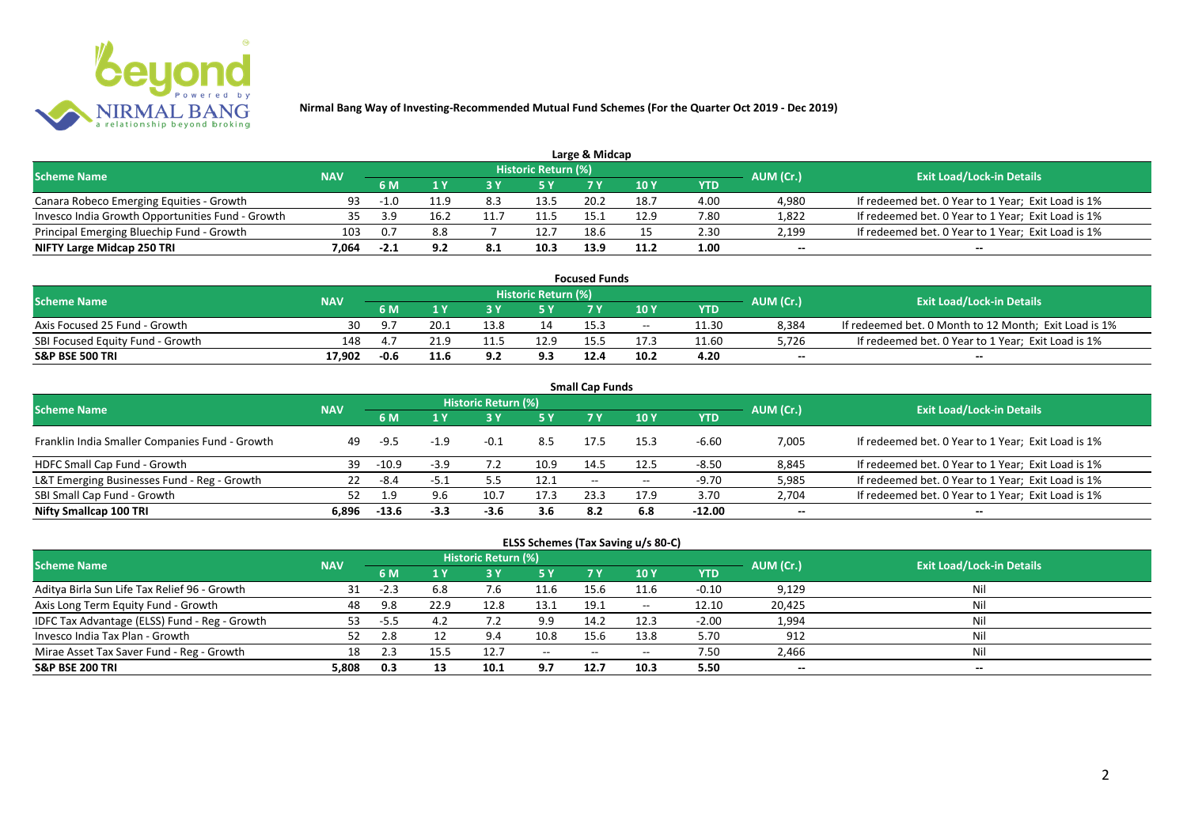

|                                                  |            |        |      |     |                            | Large & Midcap |      |      |           |                                                    |
|--------------------------------------------------|------------|--------|------|-----|----------------------------|----------------|------|------|-----------|----------------------------------------------------|
| <b>Scheme Name</b>                               | <b>NAV</b> |        |      |     | <b>Historic Return (%)</b> |                |      |      | AUM (Cr.) | <b>Exit Load/Lock-in Details</b>                   |
|                                                  |            | 6 M    |      |     | 5 Y                        |                |      | YTD  |           |                                                    |
| Canara Robeco Emerging Equities - Growth         | 93         | $-1.0$ | 11.9 | 8.3 | 13.5                       | 20.2           | 18.7 | 4.00 | 4.980     | If redeemed bet. 0 Year to 1 Year; Exit Load is 1% |
| Invesco India Growth Opportunities Fund - Growth | 35.        | -2 Q   | 16.2 |     | 11.'                       |                | 12.9 | 7.80 | 1,822     | If redeemed bet. 0 Year to 1 Year; Exit Load is 1% |
| Principal Emerging Bluechip Fund - Growth        | 103        | 0.7    | 8.8  |     | 12.7                       | 18.6           |      | 2.30 | 2,199     | If redeemed bet. 0 Year to 1 Year; Exit Load is 1% |
| NIFTY Large Midcap 250 TRI                       | 7.064      | $-2.1$ |      | 8.1 | 10.3                       | 13.9           | 11.2 | 1.00 | $- -$     | $- -$                                              |

|                                  |            |        |      |      |                            | <b>Focused Funds</b> |       |       |           |                                                       |
|----------------------------------|------------|--------|------|------|----------------------------|----------------------|-------|-------|-----------|-------------------------------------------------------|
| <b>Scheme Name</b>               | <b>NAV</b> |        |      |      | <b>Historic Return (%)</b> |                      |       |       | AUM (Cr.) | <b>Exit Load/Lock-in Details</b>                      |
|                                  |            | 6 M    | 1 V  |      | 5 Y                        |                      | 10 Y  | YTD   |           |                                                       |
| Axis Focused 25 Fund - Growth    | 30         | - 9. 7 | 20.1 | 13.8 | 14                         | 15.3                 | $- -$ | 11.30 | 8.384     | If redeemed bet. 0 Month to 12 Month; Exit Load is 1% |
| SBI Focused Equity Fund - Growth | 148        | 4.7    | 21.9 |      | 12.9                       |                      | 17.3  | 11.60 | 5.726     | If redeemed bet. 0 Year to 1 Year; Exit Load is 1%    |
| <b>S&amp;P BSE 500 TRI</b>       | 17.902     | $-0.6$ | 11.6 | ດ າ  | 9.3                        | 12.4                 | 10.2  | 4.20  | $- -$     | $- -$                                                 |

| <b>Small Cap Funds</b>                         |            |         |        |                     |      |                          |       |            |           |                                                    |  |  |  |  |
|------------------------------------------------|------------|---------|--------|---------------------|------|--------------------------|-------|------------|-----------|----------------------------------------------------|--|--|--|--|
| <b>Scheme Name</b>                             | <b>NAV</b> |         |        | Historic Return (%) |      |                          |       |            | AUM (Cr.) | <b>Exit Load/Lock-in Details</b>                   |  |  |  |  |
|                                                |            |         |        |                     | 5 Y  | 7 Y                      | 710Y  | <b>YTD</b> |           |                                                    |  |  |  |  |
| Franklin India Smaller Companies Fund - Growth | 49         | -9.5    | $-1.9$ | $-0.1$              | 8.5  | 17.5                     | 15.3  | $-6.60$    | 7,005     | If redeemed bet. 0 Year to 1 Year; Exit Load is 1% |  |  |  |  |
| HDFC Small Cap Fund - Growth                   | 39         | $-10.9$ | $-3.9$ | 7.2                 | 10.9 | 14.5                     | 12.5  | $-8.50$    | 8,845     | If redeemed bet. 0 Year to 1 Year; Exit Load is 1% |  |  |  |  |
| L&T Emerging Businesses Fund - Reg - Growth    | 22         | -8.4    | -5.1   |                     | 12.1 | $\overline{\phantom{a}}$ | $- -$ | $-9.70$    | 5,985     | If redeemed bet. 0 Year to 1 Year; Exit Load is 1% |  |  |  |  |
| SBI Small Cap Fund - Growth                    |            | 1.9     | 9.6    | 10.7                | 17.3 | 23.3                     | 17.9  | 3.70       | 2,704     | If redeemed bet. 0 Year to 1 Year; Exit Load is 1% |  |  |  |  |
| Nifty Smallcap 100 TRI                         | 6.896      | $-13.6$ | $-3.3$ | $-3.6$              | 3.6  | 8.2                      | 6.8   | $-12.00$   | $- -$     | --                                                 |  |  |  |  |

## **ELSS Schemes (Tax Saving u/s 80-C)**

| <b>Scheme Name</b>                            | <b>NAV</b> |      |      | <b>Historic Return (%)</b> |           |       |            |         | AUM (Cr.) | <b>Exit Load/Lock-in Details</b> |
|-----------------------------------------------|------------|------|------|----------------------------|-----------|-------|------------|---------|-----------|----------------------------------|
|                                               |            | 6 M  |      |                            | <b>5Y</b> | 7 Y   | <b>10Y</b> | YTD     |           |                                  |
| Aditya Birla Sun Life Tax Relief 96 - Growth  | 31         | -2.3 | 6.8  | 7.b                        | 11.6      | 15.6  | 11.6       | $-0.10$ | 9,129     | Nil                              |
| Axis Long Term Equity Fund - Growth           | 48         | 9.8  | 22.9 | 12.8                       | 13.1      | 19.1  | $- -$      | 12.10   | 20,425    | Nil                              |
| IDFC Tax Advantage (ELSS) Fund - Reg - Growth | 53         | -5.5 |      |                            | 9.9       | 14.2  | 12.3       | $-2.00$ | 1,994     | Nil                              |
| Invesco India Tax Plan - Growth               | 52         |      |      | 9.4                        | 10.8      | 15.6  | 13.8       | 5.70    | 912       | Nil                              |
| Mirae Asset Tax Saver Fund - Reg - Growth     | 18         | 2.3  |      | 12.7                       | $  \,$    | $- -$ | $- -$      | 7.50    | 2,466     | Nil                              |
| <b>S&amp;P BSE 200 TRI</b>                    | 5.808      | 0.3  | 13   | 10.1                       | 9.7       | 12.7  | 10.3       | 5.50    | $- -$     | $- -$                            |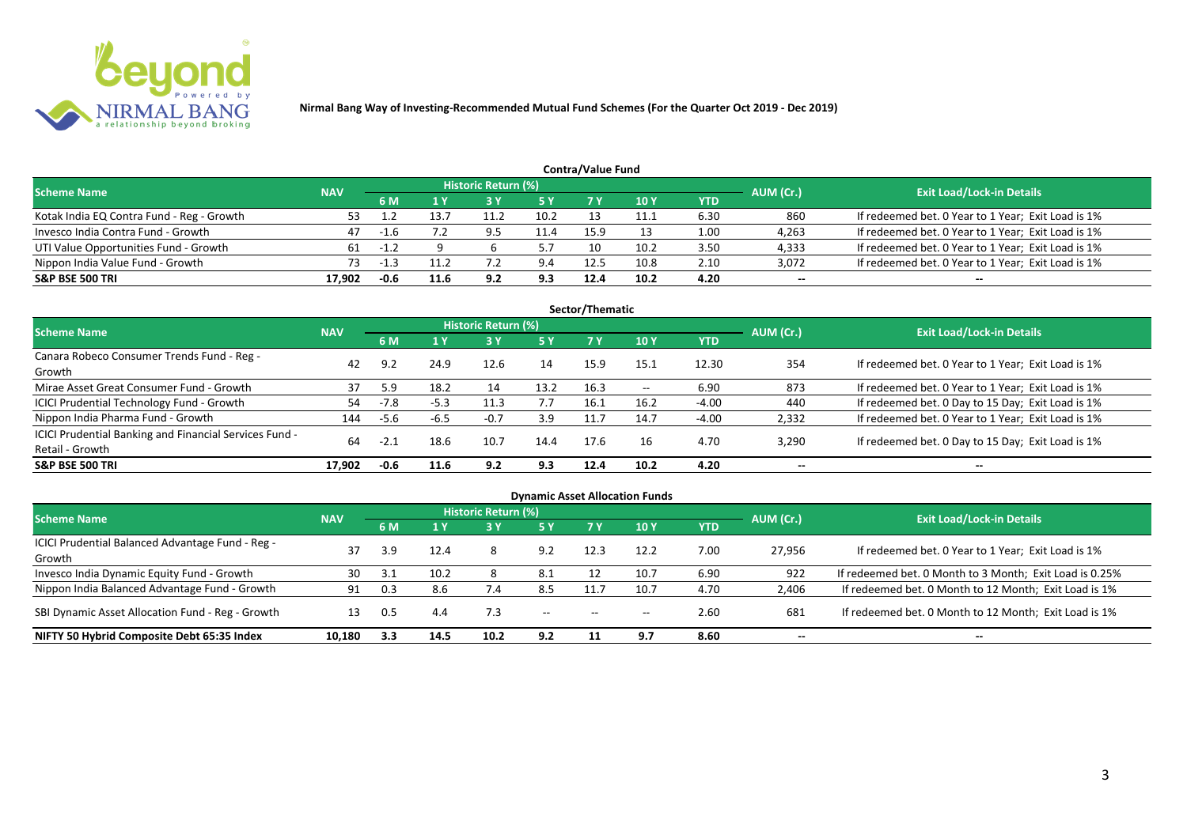

|                                           |            |        |      |                            |           | <b>Contra/Value Fund</b> |      |            |           |                                                    |
|-------------------------------------------|------------|--------|------|----------------------------|-----------|--------------------------|------|------------|-----------|----------------------------------------------------|
| <b>Scheme Name</b>                        | <b>NAV</b> |        |      | <b>Historic Return (%)</b> |           |                          |      |            | AUM (Cr.) | <b>Exit Load/Lock-in Details</b>                   |
|                                           |            | 6 M    |      |                            | <b>5Y</b> |                          | 10Y  | <b>YTD</b> |           |                                                    |
| Kotak India EQ Contra Fund - Reg - Growth |            |        | 13.7 |                            | 10.2      |                          | 11.1 | 6.30       | 860       | If redeemed bet. 0 Year to 1 Year; Exit Load is 1% |
| Invesco India Contra Fund - Growth        | 47         | -1.6   |      | 9.5                        | 11.4      | 15.9                     |      | 1.00       | 4,263     | If redeemed bet. 0 Year to 1 Year; Exit Load is 1% |
| UTI Value Opportunities Fund - Growth     | 61         | $-1.2$ |      |                            |           |                          | 10.2 | 3.50       | 4,333     | If redeemed bet. 0 Year to 1 Year; Exit Load is 1% |
| Nippon India Value Fund - Growth          | 73         |        |      |                            | 9.4       | 12.5                     | 10.8 | 2.10       | 3,072     | If redeemed bet. 0 Year to 1 Year; Exit Load is 1% |
| <b>S&amp;P BSE 500 TRI</b>                | 17.902     | $-0.6$ | 11.6 | 9.2                        | 9.3       | 12.4                     | 10.2 | 4.20       | $- -$     | $-$                                                |

| Sector/Thematic                                        |            |        |        |                     |           |      |            |            |                          |                                                    |  |  |  |
|--------------------------------------------------------|------------|--------|--------|---------------------|-----------|------|------------|------------|--------------------------|----------------------------------------------------|--|--|--|
| Scheme Name                                            | <b>NAV</b> |        |        | Historic Return (%) |           |      |            |            | AUM (Cr.)                | <b>Exit Load/Lock-in Details</b>                   |  |  |  |
|                                                        |            | 6 M    | 1 Y    | <b>73 Y</b>         | <b>5Y</b> | 7Y   | <b>10Y</b> | <b>YTD</b> |                          |                                                    |  |  |  |
| Canara Robeco Consumer Trends Fund - Reg -             | 42         | 9.2    | 24.9   | 12.6                | 14        | 15.9 | 15.1       | 12.30      | 354                      | If redeemed bet. 0 Year to 1 Year; Exit Load is 1% |  |  |  |
| Growth                                                 |            |        |        |                     |           |      |            |            |                          |                                                    |  |  |  |
| Mirae Asset Great Consumer Fund - Growth               | 37         | 5.9    | 18.2   | 14                  | 13.2      | 16.3 | $- -$      | 6.90       | 873                      | If redeemed bet. 0 Year to 1 Year; Exit Load is 1% |  |  |  |
| <b>ICICI Prudential Technology Fund - Growth</b>       | 54         | $-7.8$ | $-5.3$ | 11.3                | 7.7       | 16.1 | 16.2       | $-4.00$    | 440                      | If redeemed bet. 0 Day to 15 Day; Exit Load is 1%  |  |  |  |
| Nippon India Pharma Fund - Growth                      | 144        | $-5.6$ | $-6.5$ | $-0.7$              | 3.9       | 11.7 | 14.7       | $-4.00$    | 2,332                    | If redeemed bet. 0 Year to 1 Year; Exit Load is 1% |  |  |  |
| ICICI Prudential Banking and Financial Services Fund - |            |        |        | 10.7                |           | 17.6 |            |            |                          |                                                    |  |  |  |
| Retail - Growth                                        | 64         |        | 18.6   |                     | 14.4      |      | 16         | 4.70       | 3,290                    | If redeemed bet. 0 Day to 15 Day; Exit Load is 1%  |  |  |  |
| <b>S&amp;P BSE 500 TRI</b>                             | 17.902     | $-0.6$ | 11.6   | 9.2                 | 9.3       | 12.4 | 10.2       | 4.20       | $\overline{\phantom{a}}$ | $\overline{\phantom{a}}$                           |  |  |  |

|                                                  |            |     |      |                            |            |                                                | <b>Dynamic Asset Allocation Funds</b> |            |           |                                                         |
|--------------------------------------------------|------------|-----|------|----------------------------|------------|------------------------------------------------|---------------------------------------|------------|-----------|---------------------------------------------------------|
| <b>Scheme Name</b>                               | <b>NAV</b> |     |      | <b>Historic Return (%)</b> |            |                                                |                                       |            | AUM (Cr.) | <b>Exit Load/Lock-in Details</b>                        |
|                                                  |            | 6 M | 1 Y  | 73 Y                       | <b>5 Y</b> | <b>7 Y</b>                                     | 10 <sub>Y</sub>                       | <b>YTD</b> |           |                                                         |
| ICICI Prudential Balanced Advantage Fund - Reg - | 37         | 3.9 | 12.4 | 8                          | 9.2        | 12.3                                           | 12.2                                  | 7.00       | 27,956    | If redeemed bet. 0 Year to 1 Year; Exit Load is 1%      |
| Growth                                           |            |     |      |                            |            |                                                |                                       |            |           |                                                         |
| Invesco India Dynamic Equity Fund - Growth       | 30         | 3.1 | 10.2 | 8                          | 8.1        | 12                                             | 10.7                                  | 6.90       | 922       | If redeemed bet. 0 Month to 3 Month; Exit Load is 0.25% |
| Nippon India Balanced Advantage Fund - Growth    | 91         |     | 8.6  | 7.4                        | 8.5        | 11.7                                           | 10.7                                  | 4.70       | 2,406     | If redeemed bet. 0 Month to 12 Month; Exit Load is 1%   |
| SBI Dynamic Asset Allocation Fund - Reg - Growth | 13         | 0.5 | 4.4  | 7.3                        | $- -$      | $\hspace{0.1mm}-\hspace{0.1mm}-\hspace{0.1mm}$ | $- -$                                 | 2.60       | 681       | If redeemed bet. 0 Month to 12 Month; Exit Load is 1%   |
| NIFTY 50 Hybrid Composite Debt 65:35 Index       | 10,180     | 3.3 | 14.5 | 10.2                       | 9.2        |                                                | 9.7                                   | 8.60       | $- -$     | $- -$                                                   |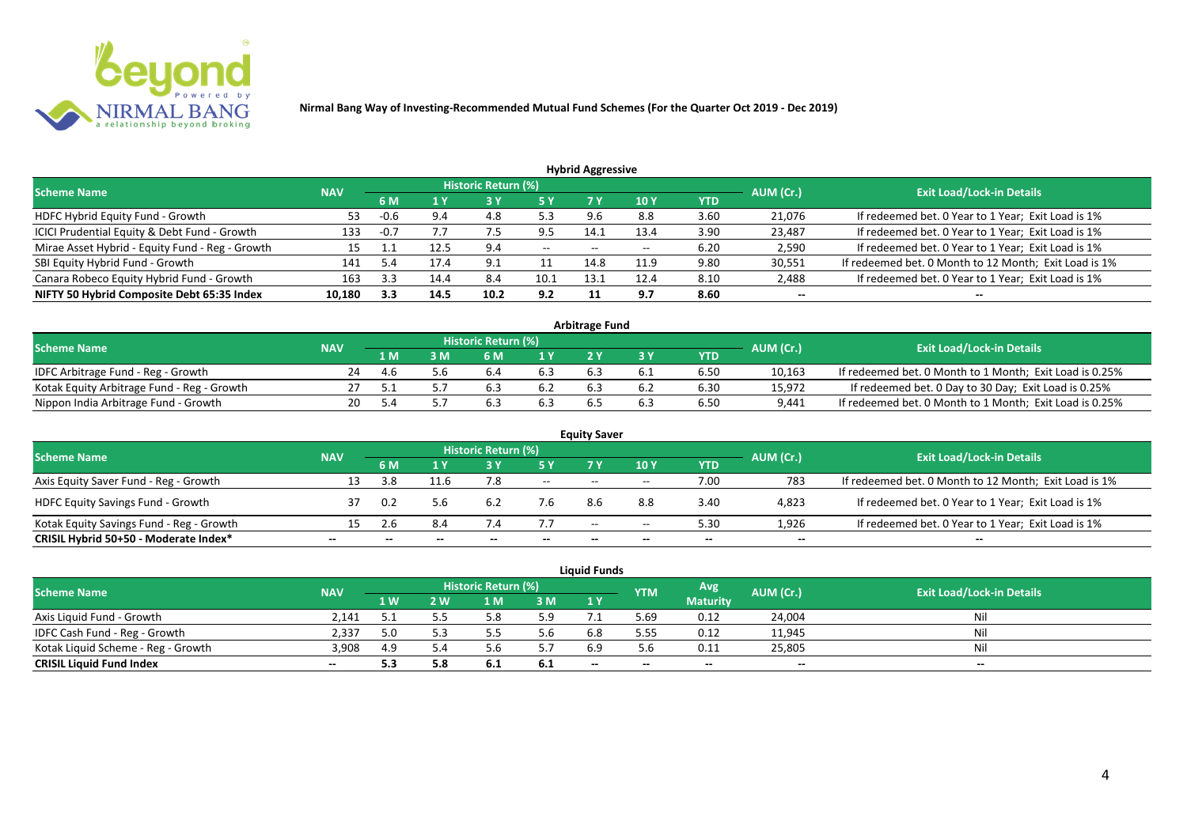

| <b>Hybrid Aggressive</b>                        |            |        |      |                            |       |       |       |            |           |                                                       |  |  |  |
|-------------------------------------------------|------------|--------|------|----------------------------|-------|-------|-------|------------|-----------|-------------------------------------------------------|--|--|--|
| <b>Scheme Name</b>                              | <b>NAV</b> |        |      | <b>Historic Return (%)</b> |       |       |       |            | AUM (Cr.) | <b>Exit Load/Lock-in Details</b>                      |  |  |  |
|                                                 |            | 6 M    |      |                            | 5 Y   | 7 Y   | 10 Y  | <b>YTD</b> |           |                                                       |  |  |  |
| HDFC Hybrid Equity Fund - Growth                | 53         | -0.6   | 9.4  | 4.8                        | 5.3   |       | 8.8   | 3.60       | 21,076    | If redeemed bet. 0 Year to 1 Year; Exit Load is 1%    |  |  |  |
| ICICI Prudential Equity & Debt Fund - Growth    | 133        | $-0.7$ |      |                            | 9.5   | 14.1  | 13.4  | 3.90       | 23,487    | If redeemed bet. 0 Year to 1 Year; Exit Load is 1%    |  |  |  |
| Mirae Asset Hybrid - Equity Fund - Reg - Growth | 15         | ᆠᆠ     | 12.5 | 9.4                        | $- -$ | $- -$ | $- -$ | 6.20       | 2,590     | If redeemed bet. 0 Year to 1 Year; Exit Load is 1%    |  |  |  |
| SBI Equity Hybrid Fund - Growth                 | 141        | 5.4    | 17.4 | 9.1                        | 11    | 14.8  | 11.9  | 9.80       | 30,551    | If redeemed bet. 0 Month to 12 Month; Exit Load is 1% |  |  |  |
| Canara Robeco Equity Hybrid Fund - Growth       | 163        | -22    | 14.4 | 8.4                        | 10.1  | 13.   | 12.4  | 8.10       | 2,488     | If redeemed bet. 0 Year to 1 Year; Exit Load is 1%    |  |  |  |
| NIFTY 50 Hybrid Composite Debt 65:35 Index      | 10,180     | 3.3    | 14.5 | 10.2                       | 9.2   |       | 9.7   | 8.60       | $- -$     | --                                                    |  |  |  |

| <b>Arbitrage Fund</b>                      |            |      |     |                     |     |     |     |            |           |                                                         |  |  |  |
|--------------------------------------------|------------|------|-----|---------------------|-----|-----|-----|------------|-----------|---------------------------------------------------------|--|--|--|
| <b>Scheme Name</b>                         | <b>NAV</b> |      |     | Historic Return (%) |     |     |     |            | AUM (Cr.) | <b>Exit Load/Lock-in Details</b>                        |  |  |  |
|                                            |            | 1 M  | M   | 6 M                 | 1 V |     |     | <b>YTD</b> |           |                                                         |  |  |  |
| IDFC Arbitrage Fund - Reg - Growth         | 24         | -4.6 | 5.b | b.4                 | 6.3 | 6.3 | b.1 | 6.50       | 10,163    | If redeemed bet. 0 Month to 1 Month; Exit Load is 0.25% |  |  |  |
| Kotak Equity Arbitrage Fund - Reg - Growth |            |      |     |                     | 6.2 |     |     | 6.30       | 15,972    | If redeemed bet. 0 Day to 30 Day; Exit Load is 0.25%    |  |  |  |
| Nippon India Arbitrage Fund - Growth       |            | -54  |     |                     | 6.3 |     |     | 6.50       | 9.441     | If redeemed bet. 0 Month to 1 Month; Exit Load is 0.25% |  |  |  |

| <b>Equity Saver</b>                      |            |       |      |                            |        |       |       |            |           |                                                       |  |  |  |
|------------------------------------------|------------|-------|------|----------------------------|--------|-------|-------|------------|-----------|-------------------------------------------------------|--|--|--|
| <b>Scheme Name</b>                       | <b>NAV</b> |       |      | <b>Historic Return (%)</b> |        |       |       |            | AUM (Cr.) | <b>Exit Load/Lock-in Details</b>                      |  |  |  |
|                                          |            | 6 M   |      |                            | 5 Y    | 7V    | 10Y   | <b>YTD</b> |           |                                                       |  |  |  |
| Axis Equity Saver Fund - Reg - Growth    | 13         | 3.8   | 11.6 |                            | $\sim$ | $- -$ | $- -$ | 7.00       | 783       | If redeemed bet. 0 Month to 12 Month; Exit Load is 1% |  |  |  |
| <b>HDFC Equity Savings Fund - Growth</b> |            | 0.2   | 5.6  | 6.2                        | 7.b    | 8.6   | 8.8   | 3.40       | 4,823     | If redeemed bet. 0 Year to 1 Year; Exit Load is 1%    |  |  |  |
| Kotak Equity Savings Fund - Reg - Growth | 15         | . Z.b | 8.4  |                            | 7.7    | $- -$ | $- -$ | 5.30       | 1.926     | If redeemed bet. 0 Year to 1 Year; Exit Load is 1%    |  |  |  |
| CRISIL Hybrid 50+50 - Moderate Index*    | $- -$      |       |      |                            |        | --    | $- -$ | $- -$      | $- -$     | $- -$                                                 |  |  |  |

| <b>Liquid Funds</b>                |            |     |     |                     |      |                          |            |                 |           |                                  |  |  |  |
|------------------------------------|------------|-----|-----|---------------------|------|--------------------------|------------|-----------------|-----------|----------------------------------|--|--|--|
| <b>Scheme Name</b>                 | <b>NAV</b> |     |     | Historic Return (%) |      |                          | <b>YTM</b> | Avg             | AUM (Cr.) | <b>Exit Load/Lock-in Details</b> |  |  |  |
|                                    |            | 1W  | 2 W | 1 M                 | 3M   | 1Y                       |            | <b>Maturity</b> |           |                                  |  |  |  |
| Axis Liquid Fund - Growth          | 2.141      |     |     |                     | 5.9  |                          | 5.69       | 0.12            | 24,004    | Nil                              |  |  |  |
| IDFC Cash Fund - Reg - Growth      | 2,337      | 5.0 |     |                     | 5.6  | 6.8                      | 5.55       | 0.12            | 11,945    | <b>Nil</b>                       |  |  |  |
| Kotak Liquid Scheme - Reg - Growth | 3,908      | 4.9 |     |                     |      | 6.9                      |            | 0.11            | 25,805    | Nil                              |  |  |  |
| <b>CRISIL Liquid Fund Index</b>    | $- -$      | 5.3 | 5.8 | 0. L                | -6.1 | $\overline{\phantom{a}}$ | $- -$      | $- -$           | $- -$     | $- -$                            |  |  |  |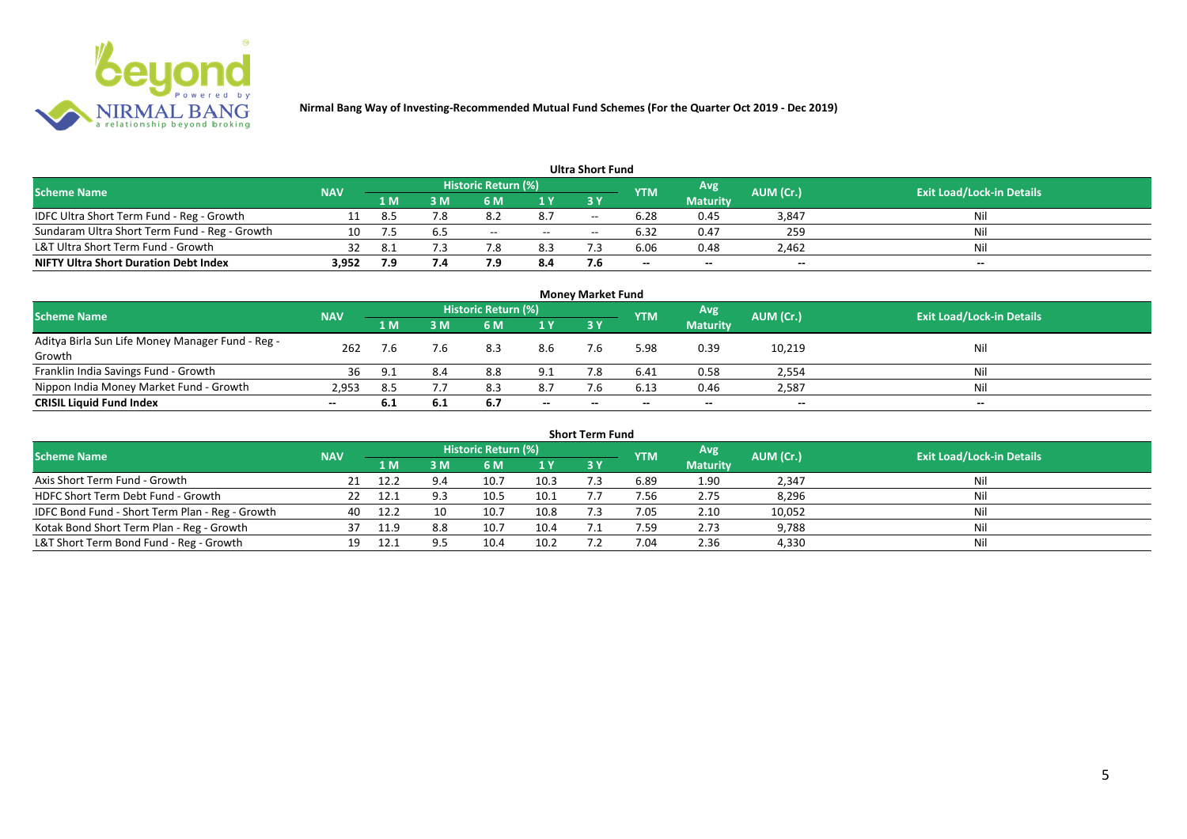

|                                               |            |     |     |                     |       | <b>Ultra Short Fund</b> |                          |                 |                          |                                  |
|-----------------------------------------------|------------|-----|-----|---------------------|-------|-------------------------|--------------------------|-----------------|--------------------------|----------------------------------|
| <b>Scheme Name</b>                            | <b>NAV</b> |     |     | Historic Return (%) |       |                         | <b>YTM</b>               | Avg             | AUM (Cr.)                | <b>Exit Load/Lock-in Details</b> |
|                                               |            | 1 M | sм  | 6 M                 | 1 Y   | 73 Y                    |                          | <b>Maturity</b> |                          |                                  |
| IDFC Ultra Short Term Fund - Reg - Growth     |            | 8.5 | 7.8 | ے.∂                 | 8.7   | $- -$                   | 6.28                     | 0.45            | 3,847                    | Nil                              |
| Sundaram Ultra Short Term Fund - Reg - Growth | 10         |     |     | $- -$               | $- -$ | $- -$                   | 6.32                     | 0.47            | 259                      | Nil                              |
| L&T Ultra Short Term Fund - Growth            |            |     |     |                     | 8.3   |                         | 6.06                     | 0.48            | 2,462                    | Nil                              |
| <b>NIFTY Ultra Short Duration Debt Index</b>  | 3,952      | 7.9 | 7.4 | ם ו                 | 8.4   |                         | $\overline{\phantom{a}}$ | $-$             | $\overline{\phantom{a}}$ | $-$                              |

|                                                  |            |       |     |                     |       | <b>Money Market Fund</b> |            |                 |           |                                  |
|--------------------------------------------------|------------|-------|-----|---------------------|-------|--------------------------|------------|-----------------|-----------|----------------------------------|
| <b>Scheme Name</b>                               | <b>NAV</b> |       |     | Historic Return (%) |       |                          | <b>YTM</b> | Avg             | AUM (Cr.) | <b>Exit Load/Lock-in Details</b> |
|                                                  |            | 1 M   | 3 M | 6 M                 | 1Y    | 3Y                       |            | <b>Maturity</b> |           |                                  |
| Aditya Birla Sun Life Money Manager Fund - Reg - | 262        |       | 7.6 | 8.3                 | 8.6   | 7.6                      | 5.98       | 0.39            | 10,219    | Nil                              |
| Growth                                           |            | 7.6   |     |                     |       |                          |            |                 |           |                                  |
| Franklin India Savings Fund - Growth             | 36         | - Q 1 | 8.4 | 8.8                 | 9.1   |                          | 6.41       | 0.58            | 2,554     | Nil                              |
| Nippon India Money Market Fund - Growth          | 2,953      | 8.5   |     | 8.3                 | 8.7   | 7.6                      | 6.13       | 0.46            | 2,587     | Nil                              |
| <b>CRISIL Liquid Fund Index</b>                  | $- -$      | 6.1   | 6.1 | 6.7                 | $- -$ | $- -$                    | --         | $- -$           | $- -$     | $\overline{\phantom{a}}$         |

| <b>Short Term Fund</b>                          |            |      |     |                     |      |            |            |                 |           |                                  |  |  |  |
|-------------------------------------------------|------------|------|-----|---------------------|------|------------|------------|-----------------|-----------|----------------------------------|--|--|--|
| <b>Scheme Name</b>                              | <b>NAV</b> |      |     | Historic Return (%) |      |            | <b>YTM</b> | Avg             | AUM (Cr.) | <b>Exit Load/Lock-in Details</b> |  |  |  |
|                                                 |            | 1 M. | 3 M | 6 M                 | 1Y   | <b>3 Y</b> |            | <b>Maturity</b> |           |                                  |  |  |  |
| Axis Short Term Fund - Growth                   |            | 12.2 | 9.4 | 10.7                | 10.3 |            | 6.89       | 1.90            | 2,347     | Nil                              |  |  |  |
| HDFC Short Term Debt Fund - Growth              |            | 12.1 |     | 10.5                | 10.1 |            | 7.56       | 2.75            | 8,296     | Nil                              |  |  |  |
| IDFC Bond Fund - Short Term Plan - Reg - Growth | 40         | 12.2 | 10  | 10.7                | 10.8 |            | 7.05       | 2.10            | 10,052    | Nil                              |  |  |  |
| Kotak Bond Short Term Plan - Reg - Growth       | 37         | 11.9 | 8.8 | 10.7                | 10.4 |            | 7.59.      | 2.73            | 9,788     | Nil                              |  |  |  |
| L&T Short Term Bond Fund - Reg - Growth         |            |      |     | 10.4                | 10.2 |            | 7.04       | 2.36            | 4,330     | Nil                              |  |  |  |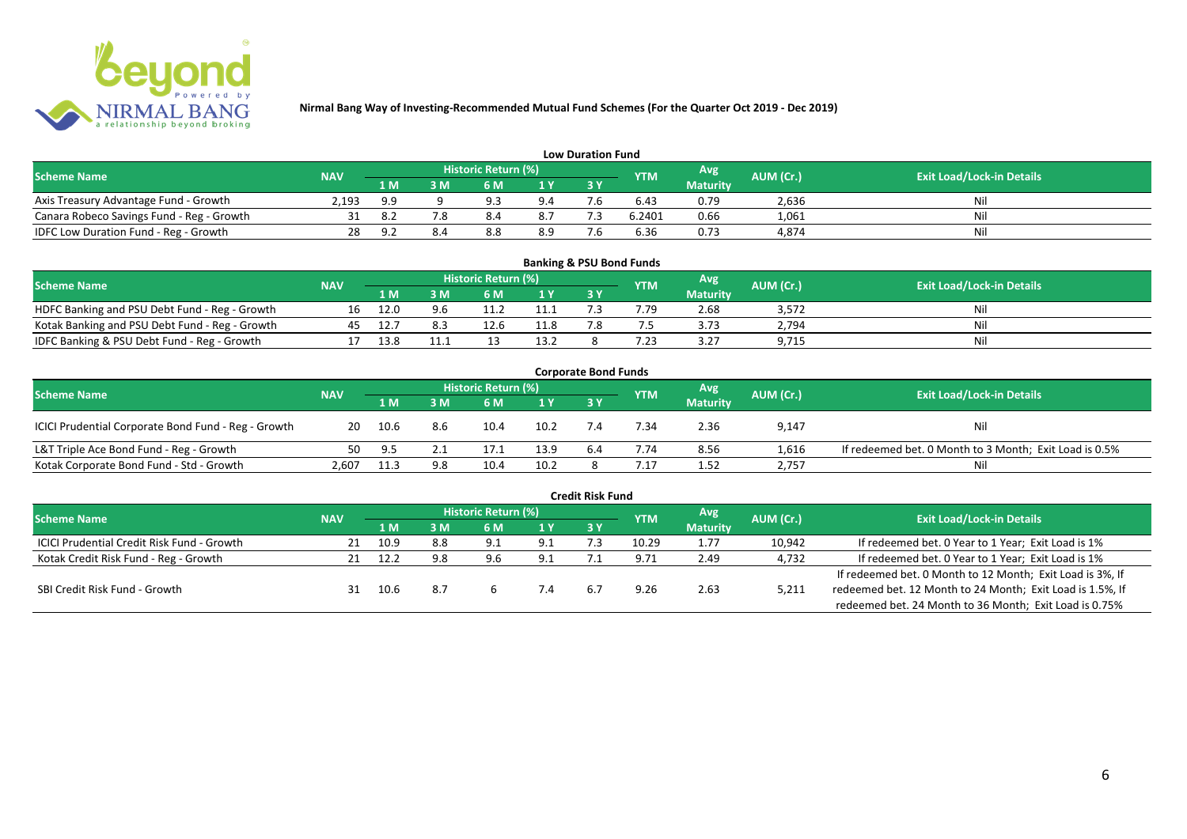

| <b>Low Duration Fund</b>                  |            |     |    |                     |     |     |            |                 |           |                                  |  |  |  |
|-------------------------------------------|------------|-----|----|---------------------|-----|-----|------------|-----------------|-----------|----------------------------------|--|--|--|
| <b>Scheme Name</b>                        | <b>NAV</b> |     |    | Historic Return (%) |     |     | <b>YTM</b> | Avg'            | AUM (Cr.) | <b>Exit Load/Lock-in Details</b> |  |  |  |
|                                           |            | 1 M | sм | 6 M                 | 1 Y | 3 Y |            | <b>Maturity</b> |           |                                  |  |  |  |
| Axis Treasury Advantage Fund - Growth     | 2.193      | 9.9 |    | Q 3                 | 9.4 |     | 6.43       | 0.79            | 2,636     | Nil                              |  |  |  |
| Canara Robeco Savings Fund - Reg - Growth |            | 8.  |    | 8.4                 | 8.7 |     | 6.2401     | 0.66            | 1,061     | Nil                              |  |  |  |
| IDFC Low Duration Fund - Reg - Growth     |            | a 1 |    | 8.8                 | 8.9 | - - | 6.36       | 0.73            | 4,874     | Nil                              |  |  |  |

| <b>Banking &amp; PSU Bond Funds</b>            |            |       |     |                            |      |  |            |                 |           |                                  |  |  |  |  |
|------------------------------------------------|------------|-------|-----|----------------------------|------|--|------------|-----------------|-----------|----------------------------------|--|--|--|--|
| <b>Scheme Name</b>                             | <b>NAV</b> |       |     | <b>Historic Return (%)</b> |      |  | <b>YTM</b> | Avg             | AUM (Cr.) | <b>Exit Load/Lock-in Details</b> |  |  |  |  |
|                                                |            | 1 M   | ١M  | 6 M                        |      |  |            | <b>Maturity</b> |           |                                  |  |  |  |  |
| HDFC Banking and PSU Debt Fund - Reg - Growth  |            |       | 9.6 |                            |      |  | 7.79       | 2.68            | 3,572     | Nil                              |  |  |  |  |
| Kotak Banking and PSU Debt Fund - Reg - Growth |            |       |     |                            | 11.8 |  |            | 3.73            | 2,794     | Nil                              |  |  |  |  |
| IDFC Banking & PSU Debt Fund - Reg - Growth    |            | 1 R R |     |                            | 13.2 |  | 7.23       | 3.27            | 9,715     | Nil                              |  |  |  |  |

| <b>Corporate Bond Funds</b>                         |            |      |     |                            |                |       |      |                 |           |                                                        |  |  |  |
|-----------------------------------------------------|------------|------|-----|----------------------------|----------------|-------|------|-----------------|-----------|--------------------------------------------------------|--|--|--|
| <b>Scheme Name</b>                                  | <b>NAV</b> |      |     | <b>Historic Return (%)</b> |                |       | YTM  | Avg             | AUM (Cr.) | <b>Exit Load/Lock-in Details</b>                       |  |  |  |
|                                                     |            | 1 M  | : M | 6 M                        | 1 <sup>Y</sup> | 73 Y. |      | <b>Maturity</b> |           |                                                        |  |  |  |
| ICICI Prudential Corporate Bond Fund - Reg - Growth | 20         | 10.6 | 8.6 | 10.4                       | 10.2           |       | 7.34 | 2.36            | 9,147     | Nil                                                    |  |  |  |
| L&T Triple Ace Bond Fund - Reg - Growth             | 50         | 9.5  |     | 17.1                       | 13.9           | 6.4   | 7.74 | 8.56            | 1,616     | If redeemed bet. 0 Month to 3 Month; Exit Load is 0.5% |  |  |  |
| Kotak Corporate Bond Fund - Std - Growth            | 2.607      |      | 9.8 | 10.4                       | 10.2           |       |      | 1.52            | 2,757     | Nil                                                    |  |  |  |

| <b>Credit Risk Fund</b>                    |            |      |     |                     |     |           |            |                 |           |                                                           |  |  |  |
|--------------------------------------------|------------|------|-----|---------------------|-----|-----------|------------|-----------------|-----------|-----------------------------------------------------------|--|--|--|
| <b>Scheme Name</b>                         | <b>NAV</b> |      |     | Historic Return (%) |     |           | <b>YTM</b> | Avg.            | AUM (Cr.) | <b>Exit Load/Lock-in Details</b>                          |  |  |  |
|                                            |            | 1 M  | 3 M | 6 M                 | 1 Y | <b>3Y</b> |            | <b>Maturity</b> |           |                                                           |  |  |  |
| ICICI Prudential Credit Risk Fund - Growth | 21         | 10.9 | 8.8 | 9.1                 | 9.1 |           | 10.29      | 1.77            | 10,942    | If redeemed bet. 0 Year to 1 Year; Exit Load is 1%        |  |  |  |
| Kotak Credit Risk Fund - Reg - Growth      |            | 12.2 | 9.8 | 9.6                 | 9.1 |           | 9.71       | 2.49            | 4,732     | If redeemed bet. 0 Year to 1 Year; Exit Load is 1%        |  |  |  |
|                                            |            |      |     |                     |     |           |            |                 |           | If redeemed bet. 0 Month to 12 Month; Exit Load is 3%, If |  |  |  |
| SBI Credit Risk Fund - Growth              | 31         | 10.6 | 8.7 |                     |     | 6.7       | 9.26       | 2.63            | 5,211     | redeemed bet. 12 Month to 24 Month; Exit Load is 1.5%, If |  |  |  |
|                                            |            |      |     |                     |     |           |            |                 |           | redeemed bet. 24 Month to 36 Month; Exit Load is 0.75%    |  |  |  |